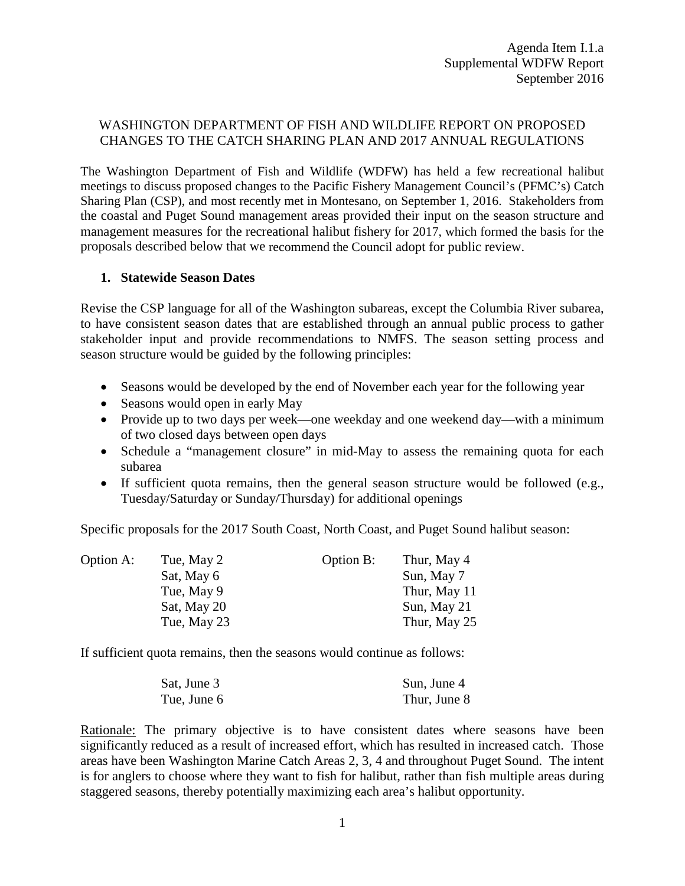## WASHINGTON DEPARTMENT OF FISH AND WILDLIFE REPORT ON PROPOSED CHANGES TO THE CATCH SHARING PLAN AND 2017 ANNUAL REGULATIONS

The Washington Department of Fish and Wildlife (WDFW) has held a few recreational halibut meetings to discuss proposed changes to the Pacific Fishery Management Council's (PFMC's) Catch Sharing Plan (CSP), and most recently met in Montesano, on September 1, 2016. Stakeholders from the coastal and Puget Sound management areas provided their input on the season structure and management measures for the recreational halibut fishery for 2017, which formed the basis for the proposals described below that we recommend the Council adopt for public review.

## **1. Statewide Season Dates**

Revise the CSP language for all of the Washington subareas, except the Columbia River subarea, to have consistent season dates that are established through an annual public process to gather stakeholder input and provide recommendations to NMFS. The season setting process and season structure would be guided by the following principles:

- Seasons would be developed by the end of November each year for the following year
- Seasons would open in early May
- Provide up to two days per week—one weekday and one weekend day—with a minimum of two closed days between open days
- Schedule a "management closure" in mid-May to assess the remaining quota for each subarea
- If sufficient quota remains, then the general season structure would be followed (e.g., Tuesday/Saturday or Sunday/Thursday) for additional openings

Specific proposals for the 2017 South Coast, North Coast, and Puget Sound halibut season:

| Option A: | Tue, May 2  | Option B: | Thur, May 4  |
|-----------|-------------|-----------|--------------|
|           | Sat, May 6  |           | Sun, May 7   |
|           | Tue, May 9  |           | Thur, May 11 |
|           | Sat, May 20 |           | Sun, May 21  |
|           | Tue, May 23 |           | Thur, May 25 |
|           |             |           |              |

If sufficient quota remains, then the seasons would continue as follows:

| Sat, June 3 | Sun, June 4  |
|-------------|--------------|
| Tue, June 6 | Thur, June 8 |

Rationale: The primary objective is to have consistent dates where seasons have been significantly reduced as a result of increased effort, which has resulted in increased catch. Those areas have been Washington Marine Catch Areas 2, 3, 4 and throughout Puget Sound. The intent is for anglers to choose where they want to fish for halibut, rather than fish multiple areas during staggered seasons, thereby potentially maximizing each area's halibut opportunity.